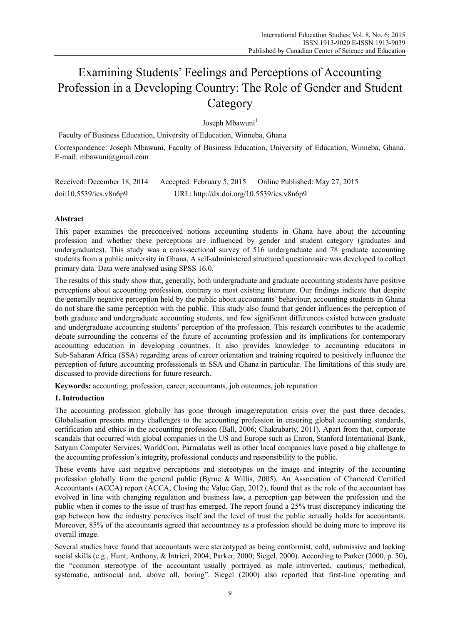# Examining Students' Feelings and Perceptions of Accounting Profession in a Developing Country: The Role of Gender and Student Category

Joseph Mbawuni<sup>1</sup>

1 Faculty of Business Education, University of Education, Winneba, Ghana

Correspondence: Joseph Mbawuni, Faculty of Business Education, University of Education, Winneba, Ghana. E-mail: mbawuni@gmail.com

Received: December 18, 2014 Accepted: February 5, 2015 Online Published: May 27, 2015 doi:10.5539/ies.v8n6p9 URL: http://dx.doi.org/10.5539/ies.v8n6p9

# **Abstract**

This paper examines the preconceived notions accounting students in Ghana have about the accounting profession and whether these perceptions are influenced by gender and student category (graduates and undergraduates). This study was a cross-sectional survey of 516 undergraduate and 78 graduate accounting students from a public university in Ghana. A self-administered structured questionnaire was developed to collect primary data. Data were analysed using SPSS 16.0.

The results of this study show that, generally, both undergraduate and graduate accounting students have positive perceptions about accounting profession, contrary to most existing literature. Our findings indicate that despite the generally negative perception held by the public about accountants' behaviour, accounting students in Ghana do not share the same perception with the public. This study also found that gender influences the perception of both graduate and undergraduate accounting students, and few significant differences existed between graduate and undergraduate accounting students' perception of the profession. This research contributes to the academic debate surrounding the concerns of the future of accounting profession and its implications for contemporary accounting education in developing countries. It also provides knowledge to accounting educators in Sub-Saharan Africa (SSA) regarding areas of career orientation and training required to positively influence the perception of future accounting professionals in SSA and Ghana in particular. The limitations of this study are discussed to provide directions for future research.

**Keywords:** accounting, profession, career, accountants, job outcomes, job reputation

# **1. Introduction**

The accounting profession globally has gone through image/reputation crisis over the past three decades. Globalisation presents many challenges to the accounting profession in ensuring global accounting standards, certification and ethics in the accounting profession (Ball, 2006; Chakrabarty, 2011). Apart from that, corporate scandals that occurred with global companies in the US and Europe such as Enron, Stanford International Bank, Satyam Computer Services, WorldCom, Parmalatas well as other local companies have posed a big challenge to the accounting profession's integrity, professional conducts and responsibility to the public.

These events have cast negative perceptions and stereotypes on the image and integrity of the accounting profession globally from the general public (Byrne & Willis, 2005). An Association of Chartered Certified Accountants (ACCA) report (ACCA, Closing the Value Gap, 2012), found that as the role of the accountant has evolved in line with changing regulation and business law, a perception gap between the profession and the public when it comes to the issue of trust has emerged. The report found a 25% trust discrepancy indicating the gap between how the industry perceives itself and the level of trust the public actually holds for accountants. Moreover, 85% of the accountants agreed that accountancy as a profession should be doing more to improve its overall image.

Several studies have found that accountants were stereotyped as being conformist, cold, submissive and lacking social skills (e.g., Hunt, Anthony, & Intrieri, 2004; Parker, 2000; Siegel, 2000). According to Parker (2000, p. 50), the "common stereotype of the accountant–usually portrayed as male–introverted, cautious, methodical, systematic, antisocial and, above all, boring". Siegel (2000) also reported that first-line operating and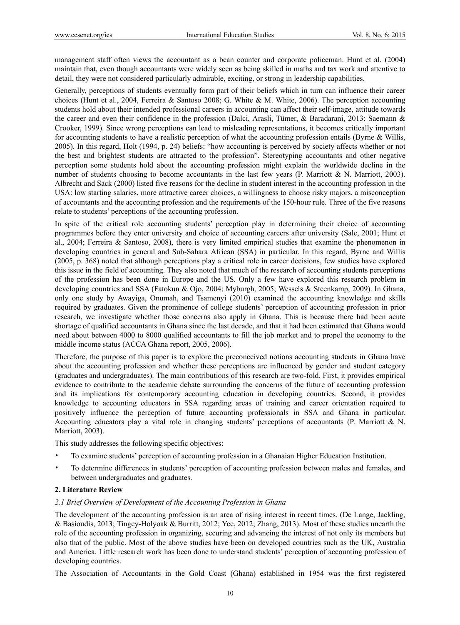management staff often views the accountant as a bean counter and corporate policeman. Hunt et al. (2004) maintain that, even though accountants were widely seen as being skilled in maths and tax work and attentive to detail, they were not considered particularly admirable, exciting, or strong in leadership capabilities.

Generally, perceptions of students eventually form part of their beliefs which in turn can influence their career choices (Hunt et al., 2004, Ferreira & Santoso 2008; G. White & M. White, 2006). The perception accounting students hold about their intended professional careers in accounting can affect their self-image, attitude towards the career and even their confidence in the profession (Dalci, Arasli, Tümer, & Baradarani, 2013; Saemann & Crooker, 1999). Since wrong perceptions can lead to misleading representations, it becomes critically important for accounting students to have a realistic perception of what the accounting profession entails (Byrne  $\&$  Willis, 2005). In this regard, Holt (1994, p. 24) beliefs: "how accounting is perceived by society affects whether or not the best and brightest students are attracted to the profession". Stereotyping accountants and other negative perception some students hold about the accounting profession might explain the worldwide decline in the number of students choosing to become accountants in the last few years (P. Marriott & N. Marriott, 2003). Albrecht and Sack (2000) listed five reasons for the decline in student interest in the accounting profession in the USA: low starting salaries, more attractive career choices, a willingness to choose risky majors, a misconception of accountants and the accounting profession and the requirements of the 150-hour rule. Three of the five reasons relate to students' perceptions of the accounting profession.

In spite of the critical role accounting students' perception play in determining their choice of accounting programmes before they enter university and choice of accounting careers after university (Sale, 2001; Hunt et al., 2004; Ferreira & Santoso, 2008), there is very limited empirical studies that examine the phenomenon in developing countries in general and Sub-Sahara African (SSA) in particular. In this regard, Byrne and Willis (2005, p. 368) noted that although perceptions play a critical role in career decisions, few studies have explored this issue in the field of accounting. They also noted that much of the research of accounting students perceptions of the profession has been done in Europe and the US. Only a few have explored this research problem in developing countries and SSA (Fatokun & Ojo, 2004; Myburgh, 2005; Wessels & Steenkamp, 2009). In Ghana, only one study by Awayiga, Onumah, and Tsamenyi (2010) examined the accounting knowledge and skills required by graduates. Given the prominence of college students' perception of accounting profession in prior research, we investigate whether those concerns also apply in Ghana. This is because there had been acute shortage of qualified accountants in Ghana since the last decade, and that it had been estimated that Ghana would need about between 4000 to 8000 qualified accountants to fill the job market and to propel the economy to the middle income status (ACCA Ghana report, 2005, 2006).

Therefore, the purpose of this paper is to explore the preconceived notions accounting students in Ghana have about the accounting profession and whether these perceptions are influenced by gender and student category (graduates and undergraduates). The main contributions of this research are two-fold. First, it provides empirical evidence to contribute to the academic debate surrounding the concerns of the future of accounting profession and its implications for contemporary accounting education in developing countries. Second, it provides knowledge to accounting educators in SSA regarding areas of training and career orientation required to positively influence the perception of future accounting professionals in SSA and Ghana in particular. Accounting educators play a vital role in changing students' perceptions of accountants (P. Marriott & N. Marriott, 2003).

This study addresses the following specific objectives:

- To examine students' perception of accounting profession in a Ghanaian Higher Education Institution.
- To determine differences in students' perception of accounting profession between males and females, and between undergraduates and graduates.

# **2. Literature Review**

# *2.1 Brief Overview of Development of the Accounting Profession in Ghana*

The development of the accounting profession is an area of rising interest in recent times. (De Lange, Jackling, & Basioudis, 2013; Tingey-Holyoak & Burritt, 2012; Yee, 2012; Zhang, 2013). Most of these studies unearth the role of the accounting profession in organizing, securing and advancing the interest of not only its members but also that of the public. Most of the above studies have been on developed countries such as the UK, Australia and America. Little research work has been done to understand students' perception of accounting profession of developing countries.

The Association of Accountants in the Gold Coast (Ghana) established in 1954 was the first registered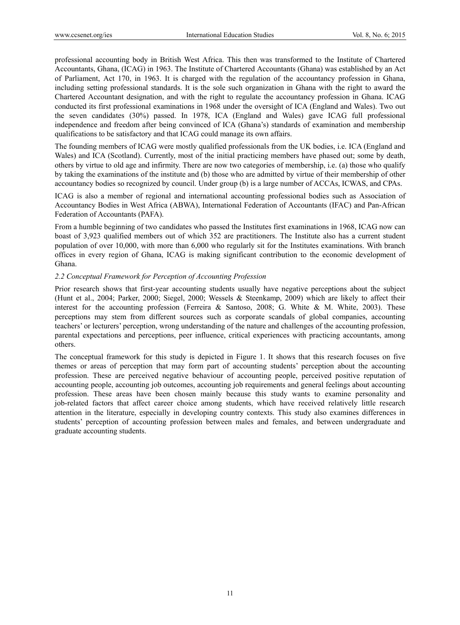professional accounting body in British West Africa. This then was transformed to the Institute of Chartered Accountants, Ghana, (ICAG) in 1963. The Institute of Chartered Accountants (Ghana) was established by an Act of Parliament, Act 170, in 1963. It is charged with the regulation of the accountancy profession in Ghana, including setting professional standards. It is the sole such organization in Ghana with the right to award the Chartered Accountant designation, and with the right to regulate the accountancy profession in Ghana. ICAG conducted its first professional examinations in 1968 under the oversight of ICA (England and Wales). Two out the seven candidates (30%) passed. In 1978, ICA (England and Wales) gave ICAG full professional independence and freedom after being convinced of ICA (Ghana's) standards of examination and membership qualifications to be satisfactory and that ICAG could manage its own affairs.

The founding members of ICAG were mostly qualified professionals from the UK bodies, i.e. ICA (England and Wales) and ICA (Scotland). Currently, most of the initial practicing members have phased out; some by death, others by virtue to old age and infirmity. There are now two categories of membership, i.e. (a) those who qualify by taking the examinations of the institute and (b) those who are admitted by virtue of their membership of other accountancy bodies so recognized by council. Under group (b) is a large number of ACCAs, ICWAS, and CPAs.

ICAG is also a member of regional and international accounting professional bodies such as Association of Accountancy Bodies in West Africa (ABWA), International Federation of Accountants (IFAC) and Pan-African Federation of Accountants (PAFA).

From a humble beginning of two candidates who passed the Institutes first examinations in 1968, ICAG now can boast of 3,923 qualified members out of which 352 are practitioners. The Institute also has a current student population of over 10,000, with more than 6,000 who regularly sit for the Institutes examinations. With branch offices in every region of Ghana, ICAG is making significant contribution to the economic development of Ghana.

# *2.2 Conceptual Framework for Perception of Accounting Profession*

Prior research shows that first-year accounting students usually have negative perceptions about the subject (Hunt et al., 2004; Parker, 2000; Siegel, 2000; Wessels & Steenkamp, 2009) which are likely to affect their interest for the accounting profession (Ferreira & Santoso, 2008; G. White & M. White, 2003). These perceptions may stem from different sources such as corporate scandals of global companies, accounting teachers' or lecturers' perception, wrong understanding of the nature and challenges of the accounting profession, parental expectations and perceptions, peer influence, critical experiences with practicing accountants, among others.

The conceptual framework for this study is depicted in Figure 1. It shows that this research focuses on five themes or areas of perception that may form part of accounting students' perception about the accounting profession. These are perceived negative behaviour of accounting people, perceived positive reputation of accounting people, accounting job outcomes, accounting job requirements and general feelings about accounting profession. These areas have been chosen mainly because this study wants to examine personality and job-related factors that affect career choice among students, which have received relatively little research attention in the literature, especially in developing country contexts. This study also examines differences in students' perception of accounting profession between males and females, and between undergraduate and graduate accounting students.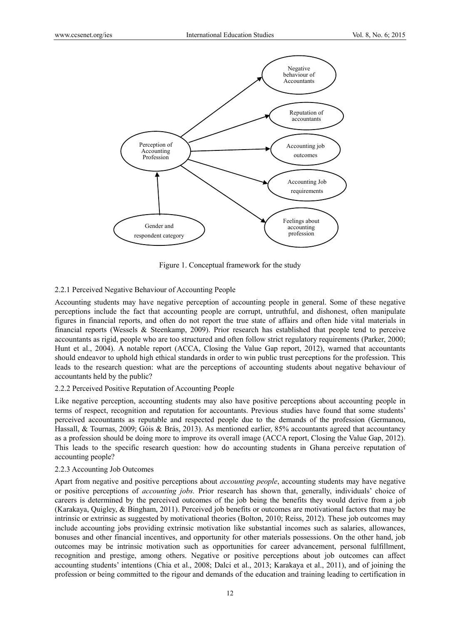

Figure 1. Conceptual framework for the study

#### 2.2.1 Perceived Negative Behaviour of Accounting People

Accounting students may have negative perception of accounting people in general. Some of these negative perceptions include the fact that accounting people are corrupt, untruthful, and dishonest, often manipulate figures in financial reports, and often do not report the true state of affairs and often hide vital materials in financial reports (Wessels & Steenkamp, 2009). Prior research has established that people tend to perceive accountants as rigid, people who are too structured and often follow strict regulatory requirements (Parker, 2000; Hunt et al., 2004). A notable report (ACCA, Closing the Value Gap report, 2012), warned that accountants should endeavor to uphold high ethical standards in order to win public trust perceptions for the profession. This leads to the research question: what are the perceptions of accounting students about negative behaviour of accountants held by the public?

#### 2.2.2 Perceived Positive Reputation of Accounting People

Like negative perception, accounting students may also have positive perceptions about accounting people in terms of respect, recognition and reputation for accountants. Previous studies have found that some students' perceived accountants as reputable and respected people due to the demands of the profession (Germanou, Hassall, & Tournas, 2009; Góis & Brás, 2013). As mentioned earlier, 85% accountants agreed that accountancy as a profession should be doing more to improve its overall image (ACCA report, Closing the Value Gap, 2012). This leads to the specific research question: how do accounting students in Ghana perceive reputation of accounting people?

#### 2.2.3 Accounting Job Outcomes

Apart from negative and positive perceptions about *accounting people*, accounting students may have negative or positive perceptions of *accounting jobs.* Prior research has shown that, generally, individuals' choice of careers is determined by the perceived outcomes of the job being the benefits they would derive from a job (Karakaya, Quigley, & Bingham, 2011). Perceived job benefits or outcomes are motivational factors that may be intrinsic or extrinsic as suggested by motivational theories (Bolton, 2010; Reiss, 2012). These job outcomes may include accounting jobs providing extrinsic motivation like substantial incomes such as salaries, allowances, bonuses and other financial incentives, and opportunity for other materials possessions. On the other hand, job outcomes may be intrinsic motivation such as opportunities for career advancement, personal fulfillment, recognition and prestige, among others. Negative or positive perceptions about job outcomes can affect accounting students' intentions (Chia et al., 2008; Dalci et al., 2013; Karakaya et al., 2011), and of joining the profession or being committed to the rigour and demands of the education and training leading to certification in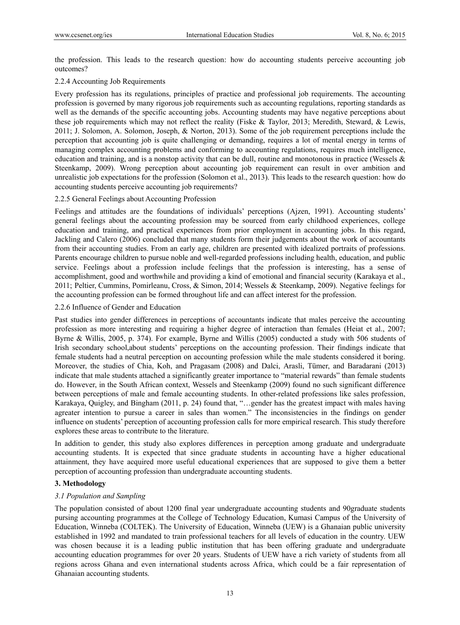the profession. This leads to the research question: how do accounting students perceive accounting job outcomes?

# 2.2.4 Accounting Job Requirements

Every profession has its regulations, principles of practice and professional job requirements. The accounting profession is governed by many rigorous job requirements such as accounting regulations, reporting standards as well as the demands of the specific accounting jobs. Accounting students may have negative perceptions about these job requirements which may not reflect the reality (Fiske & Taylor, 2013; Meredith, Steward, & Lewis, 2011; J. Solomon, A. Solomon, Joseph, & Norton, 2013). Some of the job requirement perceptions include the perception that accounting job is quite challenging or demanding, requires a lot of mental energy in terms of managing complex accounting problems and conforming to accounting regulations, requires much intelligence, education and training, and is a nonstop activity that can be dull, routine and monotonous in practice (Wessels  $\&$ Steenkamp, 2009). Wrong perception about accounting job requirement can result in over ambition and unrealistic job expectations for the profession (Solomon et al., 2013). This leads to the research question: how do accounting students perceive accounting job requirements?

# 2.2.5 General Feelings about Accounting Profession

Feelings and attitudes are the foundations of individuals' perceptions (Ajzen, 1991). Accounting students' general feelings about the accounting profession may be sourced from early childhood experiences, college education and training, and practical experiences from prior employment in accounting jobs. In this regard, Jackling and Calero (2006) concluded that many students form their judgements about the work of accountants from their accounting studies. From an early age, children are presented with idealized portraits of professions. Parents encourage children to pursue noble and well-regarded professions including health, education, and public service. Feelings about a profession include feelings that the profession is interesting, has a sense of accomplishment, good and worthwhile and providing a kind of emotional and financial security (Karakaya et al., 2011; Peltier, Cummins, Pomirleanu, Cross, & Simon, 2014; Wessels & Steenkamp, 2009). Negative feelings for the accounting profession can be formed throughout life and can affect interest for the profession.

# 2.2.6 Influence of Gender and Education

Past studies into gender differences in perceptions of accountants indicate that males perceive the accounting profession as more interesting and requiring a higher degree of interaction than females (Heiat et al., 2007; Byrne & Willis, 2005, p. 374). For example, Byrne and Willis (2005) conducted a study with 506 students of Irish secondary school,about students' perceptions on the accounting profession. Their findings indicate that female students had a neutral perception on accounting profession while the male students considered it boring. Moreover, the studies of Chia, Koh, and Pragasam (2008) and Dalci, Arasli, Tümer, and Baradarani (2013) indicate that male students attached a significantly greater importance to "material rewards" than female students do. However, in the South African context, Wessels and Steenkamp (2009) found no such significant difference between perceptions of male and female accounting students. In other-related professions like sales profession, Karakaya, Quigley, and Bingham (2011, p. 24) found that, "…gender has the greatest impact with males having agreater intention to pursue a career in sales than women." The inconsistencies in the findings on gender influence on students' perception of accounting profession calls for more empirical research. This study therefore explores these areas to contribute to the literature.

In addition to gender, this study also explores differences in perception among graduate and undergraduate accounting students. It is expected that since graduate students in accounting have a higher educational attainment, they have acquired more useful educational experiences that are supposed to give them a better perception of accounting profession than undergraduate accounting students.

# **3. Methodology**

# *3.1 Population and Sampling*

The population consisted of about 1200 final year undergraduate accounting students and 90graduate students pursing accounting programmes at the College of Technology Education, Kumasi Campus of the University of Education, Winneba (COLTEK). The University of Education, Winneba (UEW) is a Ghanaian public university established in 1992 and mandated to train professional teachers for all levels of education in the country. UEW was chosen because it is a leading public institution that has been offering graduate and undergraduate accounting education programmes for over 20 years. Students of UEW have a rich variety of students from all regions across Ghana and even international students across Africa, which could be a fair representation of Ghanaian accounting students.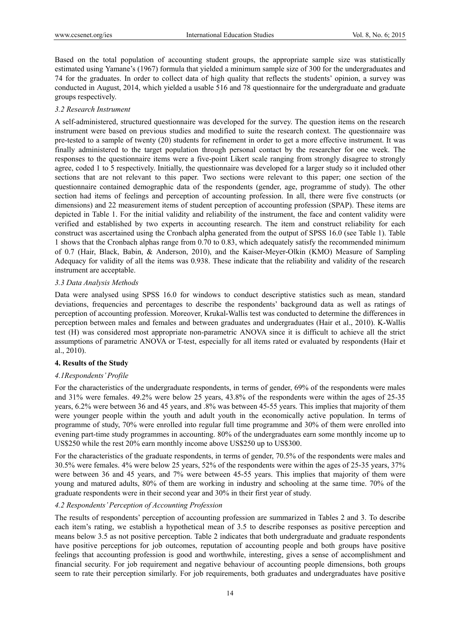Based on the total population of accounting student groups, the appropriate sample size was statistically estimated using Yamane's (1967) formula that yielded a minimum sample size of 300 for the undergraduates and 74 for the graduates. In order to collect data of high quality that reflects the students' opinion, a survey was conducted in August, 2014, which yielded a usable 516 and 78 questionnaire for the undergraduate and graduate groups respectively.

# *3.2 Research Instrument*

A self-administered, structured questionnaire was developed for the survey. The question items on the research instrument were based on previous studies and modified to suite the research context. The questionnaire was pre-tested to a sample of twenty (20) students for refinement in order to get a more effective instrument. It was finally administered to the target population through personal contact by the researcher for one week. The responses to the questionnaire items were a five-point Likert scale ranging from strongly disagree to strongly agree, coded 1 to 5 respectively. Initially, the questionnaire was developed for a larger study so it included other sections that are not relevant to this paper. Two sections were relevant to this paper; one section of the questionnaire contained demographic data of the respondents (gender, age, programme of study). The other section had items of feelings and perception of accounting profession. In all, there were five constructs (or dimensions) and 22 measurement items of student perception of accounting profession (SPAP). These items are depicted in Table 1. For the initial validity and reliability of the instrument, the face and content validity were verified and established by two experts in accounting research. The item and construct reliability for each construct was ascertained using the Cronbach alpha generated from the output of SPSS 16.0 (see Table 1). Table 1 shows that the Cronbach alphas range from 0.70 to 0.83, which adequately satisfy the recommended minimum of 0.7 (Hair, Black, Babin, & Anderson, 2010), and the Kaiser-Meyer-Olkin (KMO) Measure of Sampling Adequacy for validity of all the items was 0.938. These indicate that the reliability and validity of the research instrument are acceptable.

# *3.3 Data Analysis Methods*

Data were analysed using SPSS 16.0 for windows to conduct descriptive statistics such as mean, standard deviations, frequencies and percentages to describe the respondents' background data as well as ratings of perception of accounting profession. Moreover, Krukal-Wallis test was conducted to determine the differences in perception between males and females and between graduates and undergraduates (Hair et al., 2010). K-Wallis test (H) was considered most appropriate non-parametric ANOVA since it is difficult to achieve all the strict assumptions of parametric ANOVA or T-test, especially for all items rated or evaluated by respondents (Hair et al., 2010).

# **4. Results of the Study**

# *4.1Respondents' Profile*

For the characteristics of the undergraduate respondents, in terms of gender, 69% of the respondents were males and 31% were females. 49.2% were below 25 years, 43.8% of the respondents were within the ages of 25-35 years, 6.2% were between 36 and 45 years, and .8% was between 45-55 years. This implies that majority of them were younger people within the youth and adult youth in the economically active population. In terms of programme of study, 70% were enrolled into regular full time programme and 30% of them were enrolled into evening part-time study programmes in accounting. 80% of the undergraduates earn some monthly income up to US\$250 while the rest 20% earn monthly income above US\$250 up to US\$300.

For the characteristics of the graduate respondents, in terms of gender, 70.5% of the respondents were males and 30.5% were females. 4% were below 25 years, 52% of the respondents were within the ages of 25-35 years, 37% were between 36 and 45 years, and 7% were between 45-55 years. This implies that majority of them were young and matured adults, 80% of them are working in industry and schooling at the same time. 70% of the graduate respondents were in their second year and 30% in their first year of study.

# *4.2 Respondents' Perception of Accounting Profession*

The results of respondents' perception of accounting profession are summarized in Tables 2 and 3. To describe each item's rating, we establish a hypothetical mean of 3.5 to describe responses as positive perception and means below 3.5 as not positive perception. Table 2 indicates that both undergraduate and graduate respondents have positive perceptions for job outcomes, reputation of accounting people and both groups have positive feelings that accounting profession is good and worthwhile, interesting, gives a sense of accomplishment and financial security. For job requirement and negative behaviour of accounting people dimensions, both groups seem to rate their perception similarly. For job requirements, both graduates and undergraduates have positive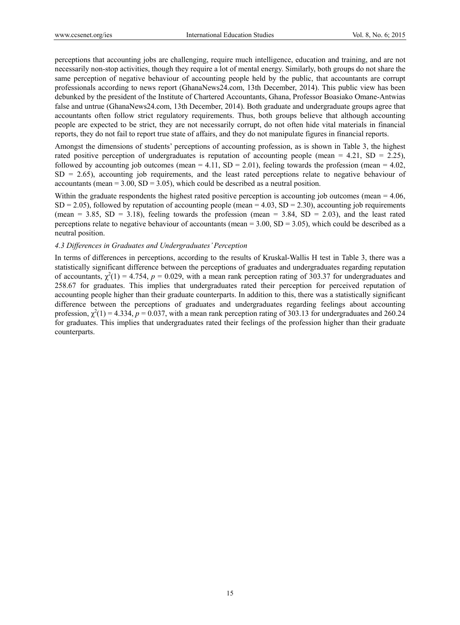perceptions that accounting jobs are challenging, require much intelligence, education and training, and are not necessarily non-stop activities, though they require a lot of mental energy. Similarly, both groups do not share the same perception of negative behaviour of accounting people held by the public, that accountants are corrupt professionals according to news report (GhanaNews24.com, 13th December, 2014). This public view has been debunked by the president of the Institute of Chartered Accountants, Ghana, Professor Boasiako Omane-Antwias false and untrue (GhanaNews24.com, 13th December, 2014). Both graduate and undergraduate groups agree that accountants often follow strict regulatory requirements. Thus, both groups believe that although accounting people are expected to be strict, they are not necessarily corrupt, do not often hide vital materials in financial reports, they do not fail to report true state of affairs, and they do not manipulate figures in financial reports.

Amongst the dimensions of students' perceptions of accounting profession, as is shown in Table 3, the highest rated positive perception of undergraduates is reputation of accounting people (mean  $= 4.21$ , SD  $= 2.25$ ), followed by accounting job outcomes (mean = 4.11,  $SD = 2.01$ ), feeling towards the profession (mean = 4.02,  $SD = 2.65$ ), accounting job requirements, and the least rated perceptions relate to negative behaviour of accountants (mean =  $3.00$ , SD =  $3.05$ ), which could be described as a neutral position.

Within the graduate respondents the highest rated positive perception is accounting job outcomes (mean  $= 4.06$ ,  $SD = 2.05$ ), followed by reputation of accounting people (mean = 4.03,  $SD = 2.30$ ), accounting job requirements (mean = 3.85,  $SD = 3.18$ ), feeling towards the profession (mean = 3.84,  $SD = 2.03$ ), and the least rated perceptions relate to negative behaviour of accountants (mean  $= 3.00$ , SD  $= 3.05$ ), which could be described as a neutral position.

#### *4.3 Differences in Graduates and Undergraduates' Perception*

In terms of differences in perceptions, according to the results of Kruskal-Wallis H test in Table 3, there was a statistically significant difference between the perceptions of graduates and undergraduates regarding reputation of accountants,  $\chi^2(1) = 4.754$ ,  $p = 0.029$ , with a mean rank perception rating of 303.37 for undergraduates and 258.67 for graduates. This implies that undergraduates rated their perception for perceived reputation of accounting people higher than their graduate counterparts. In addition to this, there was a statistically significant difference between the perceptions of graduates and undergraduates regarding feelings about accounting profession,  $\chi^2(1) = 4.334$ ,  $p = 0.037$ , with a mean rank perception rating of 303.13 for undergraduates and 260.24 for graduates. This implies that undergraduates rated their feelings of the profession higher than their graduate counterparts.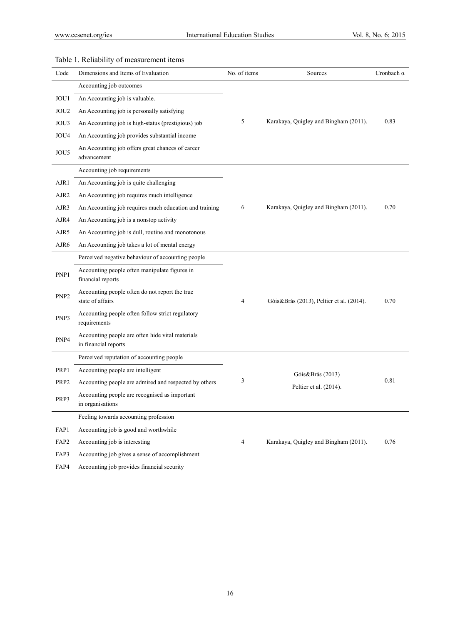| Code             | Dimensions and Items of Evaluation                                       | No. of items | Sources                                  | Cronbach $\alpha$ |
|------------------|--------------------------------------------------------------------------|--------------|------------------------------------------|-------------------|
|                  | Accounting job outcomes                                                  |              |                                          |                   |
| JOU1             | An Accounting job is valuable.                                           |              |                                          |                   |
| JOU2             | An Accounting job is personally satisfying                               |              |                                          |                   |
| JOU3             | An Accounting job is high-status (prestigious) job                       | 5            | Karakaya, Quigley and Bingham (2011).    | 0.83              |
| JOU4             | An Accounting job provides substantial income                            |              |                                          |                   |
| JOU5             | An Accounting job offers great chances of career<br>advancement          |              |                                          |                   |
|                  | Accounting job requirements                                              |              |                                          |                   |
| AJR1             | An Accounting job is quite challenging                                   |              |                                          |                   |
| AJR2             | An Accounting job requires much intelligence                             |              |                                          |                   |
| AJR3             | An Accounting job requires much education and training                   | 6            | Karakaya, Quigley and Bingham (2011).    | 0.70              |
| AJR4             | An Accounting job is a nonstop activity                                  |              |                                          |                   |
| AJR5             | An Accounting job is dull, routine and monotonous                        |              |                                          |                   |
| AJR6             | An Accounting job takes a lot of mental energy                           |              |                                          |                   |
|                  | Perceived negative behaviour of accounting people                        |              |                                          |                   |
| PNP1             | Accounting people often manipulate figures in<br>financial reports       |              |                                          |                   |
| PNP <sub>2</sub> | Accounting people often do not report the true<br>state of affairs       | 4            | Góis&Brás (2013), Peltier et al. (2014). | 0.70              |
| PNP3             | Accounting people often follow strict regulatory<br>requirements         |              |                                          |                   |
| PNP4             | Accounting people are often hide vital materials<br>in financial reports |              |                                          |                   |
|                  | Perceived reputation of accounting people                                |              |                                          |                   |
| PRP1             | Accounting people are intelligent                                        |              | Góis&Brás (2013)                         |                   |
| PRP <sub>2</sub> | Accounting people are admired and respected by others                    | 3            | Peltier et al. (2014).                   | 0.81              |
| PRP3             | Accounting people are recognised as important<br>in organisations        |              |                                          |                   |
|                  | Feeling towards accounting profession                                    |              |                                          |                   |
| FAP1             | Accounting job is good and worthwhile                                    |              |                                          |                   |
| FAP2             | Accounting job is interesting                                            | 4            | Karakaya, Quigley and Bingham (2011).    | 0.76              |
| FAP3             | Accounting job gives a sense of accomplishment                           |              |                                          |                   |
| FAP4             | Accounting job provides financial security                               |              |                                          |                   |

# Table 1. Reliability of measurement items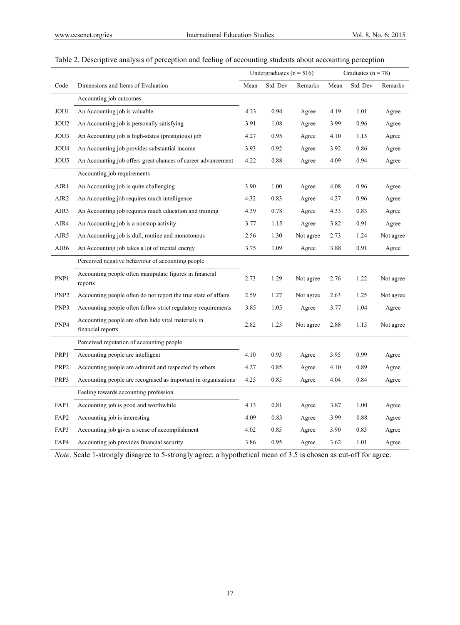17

| d feeling of accounting students about accounting perception |      |                            |         |                        |               |         |  |  |  |
|--------------------------------------------------------------|------|----------------------------|---------|------------------------|---------------|---------|--|--|--|
|                                                              |      | Undergraduates $(n = 516)$ |         | Graduates ( $n = 78$ ) |               |         |  |  |  |
|                                                              | Mean | Std. Dev                   | Remarks |                        | Mean Std. Dev | Remarks |  |  |  |
|                                                              |      |                            |         |                        |               |         |  |  |  |

| Code             | Dimensions and Items of Evaluation                                       | Mean | Std. Dev | Remarks   | Mean | Std. Dev | Remarks   |
|------------------|--------------------------------------------------------------------------|------|----------|-----------|------|----------|-----------|
|                  | Accounting job outcomes                                                  |      |          |           |      |          |           |
| JOU1             | An Accounting job is valuable.                                           | 4.23 | 0.94     | Agree     | 4.19 | 1.01     | Agree     |
| JOU2             | An Accounting job is personally satisfying                               | 3.91 | 1.08     | Agree     | 3.99 | 0.96     | Agree     |
| JOU3             | An Accounting job is high-status (prestigious) job                       | 4.27 | 0.95     | Agree     | 4.10 | 1.15     | Agree     |
| JOU4             | An Accounting job provides substantial income                            | 3.93 | 0.92     | Agree     | 3.92 | 0.86     | Agree     |
| JOU5             | An Accounting job offers great chances of career advancement             | 4.22 | 0.88     | Agree     | 4.09 | 0.94     | Agree     |
|                  | Accounting job requirements                                              |      |          |           |      |          |           |
| AJR1             | An Accounting job is quite challenging                                   | 3.90 | 1.00     | Agree     | 4.08 | 0.96     | Agree     |
| AJR2             | An Accounting job requires much intelligence                             | 4.32 | 0.83     | Agree     | 4.27 | 0.96     | Agree     |
| AJR3             | An Accounting job requires much education and training                   | 4.39 | 0.78     | Agree     | 4.33 | 0.83     | Agree     |
| AJR4             | An Accounting job is a nonstop activity                                  | 3.77 | 1.15     | Agree     | 3.82 | 0.91     | Agree     |
| AJR5             | An Accounting job is dull, routine and monotonous                        | 2.56 | 1.30     | Not agree | 2.73 | 1.24     | Not agree |
| AJR6             | An Accounting job takes a lot of mental energy                           | 3.75 | 1.09     | Agree     | 3.88 | 0.91     | Agree     |
|                  | Perceived negative behaviour of accounting people                        |      |          |           |      |          |           |
| PNP1             | Accounting people often manipulate figures in financial<br>reports       | 2.73 | 1.29     | Not agree | 2.76 | 1.22     | Not agree |
| PNP <sub>2</sub> | Accounting people often do not report the true state of affairs          | 2.59 | 1.27     | Not agree | 2.63 | 1.25     | Not agree |
| PNP3             | Accounting people often follow strict regulatory requirements            | 3.85 | 1.05     | Agree     | 3.77 | 1.04     | Agree     |
| PNP4             | Accounting people are often hide vital materials in<br>financial reports | 2.82 | 1.23     | Not agree | 2.88 | 1.15     | Not agree |
|                  | Perceived reputation of accounting people                                |      |          |           |      |          |           |
| PRP1             | Accounting people are intelligent                                        | 4.10 | 0.93     | Agree     | 3.95 | 0.99     | Agree     |
| PRP <sub>2</sub> | Accounting people are admired and respected by others                    | 4.27 | 0.85     | Agree     | 4.10 | 0.89     | Agree     |
| PRP3             | Accounting people are recognised as important in organisations           | 4.25 | 0.85     | Agree     | 4.04 | 0.84     | Agree     |
|                  | Feeling towards accounting profession                                    |      |          |           |      |          |           |
| FAP1             | Accounting job is good and worthwhile                                    | 4.13 | 0.81     | Agree     | 3.87 | 1.00     | Agree     |
| FAP2             | Accounting job is interesting                                            | 4.09 | 0.83     | Agree     | 3.99 | 0.88     | Agree     |
| FAP3             | Accounting job gives a sense of accomplishment                           | 4.02 | 0.85     | Agree     | 3.90 | 0.83     | Agree     |
| FAP4             | Accounting job provides financial security                               | 3.86 | 0.95     | Agree     | 3.62 | 1.01     | Agree     |

# Table 2. Descriptive analysis of perception and

*Note*. Scale 1-strongly disagree to 5-strongly agree; a hypothetical mean of 3.5 is chosen as cut-off for agree.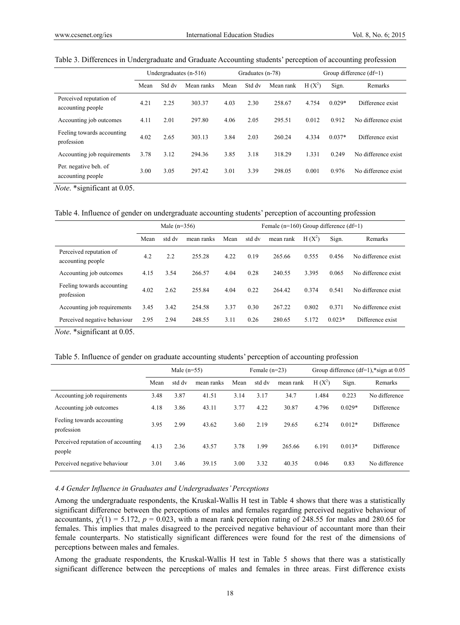|                                              | Undergraduates $(n-516)$ |        |            | Graduates (n-78) |        |           | Group difference $(df=1)$ |          |                     |
|----------------------------------------------|--------------------------|--------|------------|------------------|--------|-----------|---------------------------|----------|---------------------|
|                                              | Mean                     | Std dv | Mean ranks | Mean             | Std dv | Mean rank | $H(X^2)$                  | Sign.    | Remarks             |
| Perceived reputation of<br>accounting people | 4.21                     | 2.25   | 303.37     | 4.03             | 2.30   | 258.67    | 4.754                     | $0.029*$ | Difference exist    |
| Accounting job outcomes                      | 4.11                     | 2.01   | 297.80     | 4.06             | 2.05   | 295.51    | 0.012                     | 0.912    | No difference exist |
| Feeling towards accounting<br>profession     | 4.02                     | 2.65   | 303.13     | 3.84             | 2.03   | 260.24    | 4.334                     | $0.037*$ | Difference exist    |
| Accounting job requirements                  | 3.78                     | 3.12   | 294.36     | 3.85             | 3.18   | 318.29    | 1.331                     | 0.249    | No difference exist |
| Per. negative beh. of<br>accounting people   | 3.00                     | 3.05   | 297.42     | 3.01             | 3.39   | 298.05    | 0.001                     | 0.976    | No difference exist |

Table 3. Differences in Undergraduate and Graduate Accounting students' perception of accounting profession

*Note*. \*significant at 0.05.

Table 4. Influence of gender on undergraduate accounting students' perception of accounting profession

|                                              |                              | Male $(n=356)$ |        |      | Female ( $n=160$ ) Group difference ( $df=1$ ) |        |       |          |                     |  |
|----------------------------------------------|------------------------------|----------------|--------|------|------------------------------------------------|--------|-------|----------|---------------------|--|
|                                              | std dv<br>Mean<br>mean ranks |                |        | Mean | $H(X^2)$<br>std dv<br>mean rank                |        |       | Sign.    | <b>Remarks</b>      |  |
| Perceived reputation of<br>accounting people | 4.2                          | 2.2            | 255.28 | 4.22 | 0.19                                           | 265.66 | 0.555 | 0.456    | No difference exist |  |
| Accounting job outcomes                      | 4.15                         | 3.54           | 266.57 | 4.04 | 0.28                                           | 240.55 | 3.395 | 0.065    | No difference exist |  |
| Feeling towards accounting<br>profession     | 4.02                         | 2.62           | 255.84 | 4.04 | 0.22                                           | 264.42 | 0.374 | 0.541    | No difference exist |  |
| Accounting job requirements                  | 3.45                         | 3.42           | 254.58 | 3.37 | 0.30                                           | 267.22 | 0.802 | 0.371    | No difference exist |  |
| Perceived negative behaviour                 | 2.95                         | 2.94           | 248.55 | 3.11 | 0.26                                           | 280.65 | 5.172 | $0.023*$ | Difference exist    |  |

*Note*. \*significant at 0.05.

# Table 5. Influence of gender on graduate accounting students' perception of accounting profession

|                                              | Male $(n=55)$ |        |            | Female $(n=23)$ |        |           | Group difference $(df=1)$ ,*sign at 0.05 |          |               |
|----------------------------------------------|---------------|--------|------------|-----------------|--------|-----------|------------------------------------------|----------|---------------|
|                                              | Mean          | std dv | mean ranks | Mean            | std dv | mean rank | $H(X^2)$                                 | Sign.    | Remarks       |
| Accounting job requirements                  | 3.48          | 3.87   | 41.51      | 3.14            | 3.17   | 34.7      | 1.484                                    | 0.223    | No difference |
| Accounting job outcomes                      | 4.18          | 3.86   | 43.11      | 3.77            | 4.22   | 30.87     | 4.796                                    | $0.029*$ | Difference    |
| Feeling towards accounting<br>profession     | 3.95          | 2.99   | 43.62      | 3.60            | 2.19   | 29.65     | 6.274                                    | $0.012*$ | Difference    |
| Perceived reputation of accounting<br>people | 4.13          | 2.36   | 43.57      | 3.78            | 1.99   | 265.66    | 6.191                                    | $0.013*$ | Difference    |
| Perceived negative behaviour                 | 3.01          | 3.46   | 39.15      | 3.00            | 3.32   | 40.35     | 0.046                                    | 0.83     | No difference |

#### *4.4 Gender Influence in Graduates and Undergraduates' Perceptions*

Among the undergraduate respondents, the Kruskal-Wallis H test in Table 4 shows that there was a statistically significant difference between the perceptions of males and females regarding perceived negative behaviour of accountants,  $\chi^2(1) = 5.172$ ,  $p = 0.023$ , with a mean rank perception rating of 248.55 for males and 280.65 for females. This implies that males disagreed to the perceived negative behaviour of accountant more than their female counterparts. No statistically significant differences were found for the rest of the dimensions of perceptions between males and females.

Among the graduate respondents, the Kruskal-Wallis H test in Table 5 shows that there was a statistically significant difference between the perceptions of males and females in three areas. First difference exists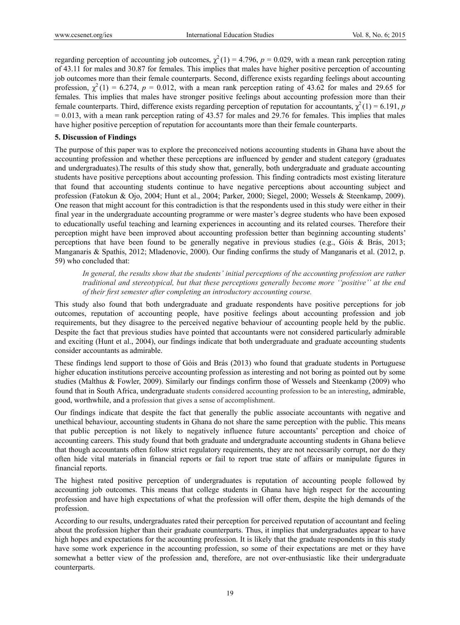regarding perception of accounting job outcomes,  $\chi^2(1) = 4.796$ ,  $p = 0.029$ , with a mean rank perception rating of 43.11 for males and 30.87 for females. This implies that males have higher positive perception of accounting job outcomes more than their female counterparts. Second, difference exists regarding feelings about accounting profession,  $\chi^2(1) = 6.274$ ,  $p = 0.012$ , with a mean rank perception rating of 43.62 for males and 29.65 for females. This implies that males have stronger positive feelings about accounting profession more than their female counterparts. Third, difference exists regarding perception of reputation for accountants,  $\chi^2(1) = 6.191$ , p  $= 0.013$ , with a mean rank perception rating of 43.57 for males and 29.76 for females. This implies that males have higher positive perception of reputation for accountants more than their female counterparts.

#### **5. Discussion of Findings**

The purpose of this paper was to explore the preconceived notions accounting students in Ghana have about the accounting profession and whether these perceptions are influenced by gender and student category (graduates and undergraduates).The results of this study show that, generally, both undergraduate and graduate accounting students have positive perceptions about accounting profession. This finding contradicts most existing literature that found that accounting students continue to have negative perceptions about accounting subject and profession (Fatokun & Ojo, 2004; Hunt et al., 2004; Parker, 2000; Siegel, 2000; Wessels & Steenkamp, 2009). One reason that might account for this contradiction is that the respondents used in this study were either in their final year in the undergraduate accounting programme or were master's degree students who have been exposed to educationally useful teaching and learning experiences in accounting and its related courses. Therefore their perception might have been improved about accounting profession better than beginning accounting students' perceptions that have been found to be generally negative in previous studies (e.g., Góis & Brás, 2013; Manganaris & Spathis, 2012; Mladenovic, 2000). Our finding confirms the study of Manganaris et al. (2012, p. 59) who concluded that:

*In general, the results show that the students' initial perceptions of the accounting profession are rather traditional and stereotypical, but that these perceptions generally become more ''positive'' at the end of their first semester after completing an introductory accounting course.* 

This study also found that both undergraduate and graduate respondents have positive perceptions for job outcomes, reputation of accounting people, have positive feelings about accounting profession and job requirements, but they disagree to the perceived negative behaviour of accounting people held by the public. Despite the fact that previous studies have pointed that accountants were not considered particularly admirable and exciting (Hunt et al., 2004), our findings indicate that both undergraduate and graduate accounting students consider accountants as admirable.

These findings lend support to those of Góis and Brás (2013) who found that graduate students in Portuguese higher education institutions perceive accounting profession as interesting and not boring as pointed out by some studies (Malthus & Fowler, 2009). Similarly our findings confirm those of Wessels and Steenkamp (2009) who found that in South Africa, undergraduate students considered accounting profession to be an interesting, admirable, good, worthwhile, and a profession that gives a sense of accomplishment.

Our findings indicate that despite the fact that generally the public associate accountants with negative and unethical behaviour, accounting students in Ghana do not share the same perception with the public. This means that public perception is not likely to negatively influence future accountants' perception and choice of accounting careers. This study found that both graduate and undergraduate accounting students in Ghana believe that though accountants often follow strict regulatory requirements, they are not necessarily corrupt, nor do they often hide vital materials in financial reports or fail to report true state of affairs or manipulate figures in financial reports.

The highest rated positive perception of undergraduates is reputation of accounting people followed by accounting job outcomes. This means that college students in Ghana have high respect for the accounting profession and have high expectations of what the profession will offer them, despite the high demands of the profession.

According to our results, undergraduates rated their perception for perceived reputation of accountant and feeling about the profession higher than their graduate counterparts. Thus, it implies that undergraduates appear to have high hopes and expectations for the accounting profession. It is likely that the graduate respondents in this study have some work experience in the accounting profession, so some of their expectations are met or they have somewhat a better view of the profession and, therefore, are not over-enthusiastic like their undergraduate counterparts.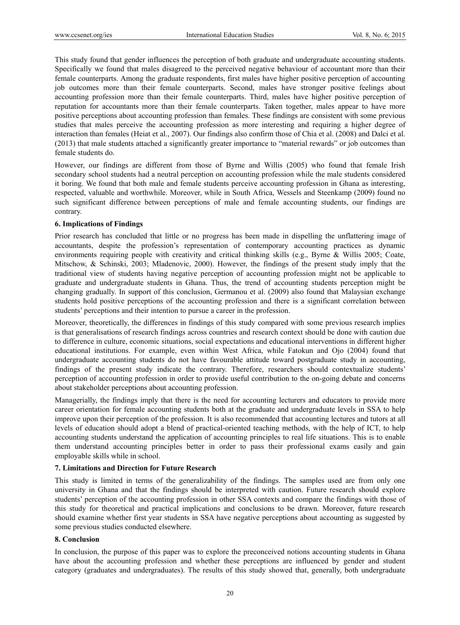This study found that gender influences the perception of both graduate and undergraduate accounting students. Specifically we found that males disagreed to the perceived negative behaviour of accountant more than their female counterparts. Among the graduate respondents, first males have higher positive perception of accounting job outcomes more than their female counterparts. Second, males have stronger positive feelings about accounting profession more than their female counterparts. Third, males have higher positive perception of reputation for accountants more than their female counterparts. Taken together, males appear to have more positive perceptions about accounting profession than females. These findings are consistent with some previous studies that males perceive the accounting profession as more interesting and requiring a higher degree of interaction than females (Heiat et al., 2007). Our findings also confirm those of Chia et al. (2008) and Dalci et al. (2013) that male students attached a significantly greater importance to "material rewards" or job outcomes than female students do.

However, our findings are different from those of Byrne and Willis (2005) who found that female Irish secondary school students had a neutral perception on accounting profession while the male students considered it boring. We found that both male and female students perceive accounting profession in Ghana as interesting, respected, valuable and worthwhile. Moreover, while in South Africa, Wessels and Steenkamp (2009) found no such significant difference between perceptions of male and female accounting students, our findings are contrary.

# **6. Implications of Findings**

Prior research has concluded that little or no progress has been made in dispelling the unflattering image of accountants, despite the profession's representation of contemporary accounting practices as dynamic environments requiring people with creativity and critical thinking skills (e.g., Byrne & Willis 2005; Coate, Mitschow, & Schinski, 2003; Mladenovic, 2000). However, the findings of the present study imply that the traditional view of students having negative perception of accounting profession might not be applicable to graduate and undergraduate students in Ghana. Thus, the trend of accounting students perception might be changing gradually. In support of this conclusion, Germanou et al. (2009) also found that Malaysian exchange students hold positive perceptions of the accounting profession and there is a significant correlation between students' perceptions and their intention to pursue a career in the profession.

Moreover, theoretically, the differences in findings of this study compared with some previous research implies is that generalisations of research findings across countries and research context should be done with caution due to difference in culture, economic situations, social expectations and educational interventions in different higher educational institutions. For example, even within West Africa, while Fatokun and Ojo (2004) found that undergraduate accounting students do not have favourable attitude toward postgraduate study in accounting, findings of the present study indicate the contrary. Therefore, researchers should contextualize students' perception of accounting profession in order to provide useful contribution to the on-going debate and concerns about stakeholder perceptions about accounting profession.

Managerially, the findings imply that there is the need for accounting lecturers and educators to provide more career orientation for female accounting students both at the graduate and undergraduate levels in SSA to help improve upon their perception of the profession. It is also recommended that accounting lectures and tutors at all levels of education should adopt a blend of practical-oriented teaching methods, with the help of ICT, to help accounting students understand the application of accounting principles to real life situations. This is to enable them understand accounting principles better in order to pass their professional exams easily and gain employable skills while in school.

# **7. Limitations and Direction for Future Research**

This study is limited in terms of the generalizability of the findings. The samples used are from only one university in Ghana and that the findings should be interpreted with caution. Future research should explore students' perception of the accounting profession in other SSA contexts and compare the findings with those of this study for theoretical and practical implications and conclusions to be drawn. Moreover, future research should examine whether first year students in SSA have negative perceptions about accounting as suggested by some previous studies conducted elsewhere.

# **8. Conclusion**

In conclusion, the purpose of this paper was to explore the preconceived notions accounting students in Ghana have about the accounting profession and whether these perceptions are influenced by gender and student category (graduates and undergraduates). The results of this study showed that, generally, both undergraduate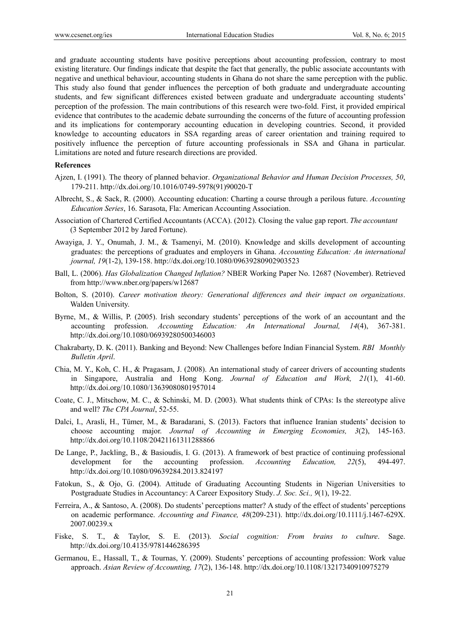and graduate accounting students have positive perceptions about accounting profession, contrary to most existing literature. Our findings indicate that despite the fact that generally, the public associate accountants with negative and unethical behaviour, accounting students in Ghana do not share the same perception with the public. This study also found that gender influences the perception of both graduate and undergraduate accounting students, and few significant differences existed between graduate and undergraduate accounting students' perception of the profession. The main contributions of this research were two-fold. First, it provided empirical evidence that contributes to the academic debate surrounding the concerns of the future of accounting profession and its implications for contemporary accounting education in developing countries. Second, it provided knowledge to accounting educators in SSA regarding areas of career orientation and training required to positively influence the perception of future accounting professionals in SSA and Ghana in particular. Limitations are noted and future research directions are provided.

#### **References**

- Ajzen, I. (1991). The theory of planned behavior. *Organizational Behavior and Human Decision Processes, 50*, 179-211. http://dx.doi.org/10.1016/0749-5978(91)90020-T
- Albrecht, S., & Sack, R. (2000). Accounting education: Charting a course through a perilous future. *Accounting Education Series*, 16. Sarasota, Fla: American Accounting Association.
- Association of Chartered Certified Accountants (ACCA). (2012). Closing the value gap report. *The accountant* (3 September 2012 by Jared Fortune).
- Awayiga, J. Y., Onumah, J. M., & Tsamenyi, M. (2010). Knowledge and skills development of accounting graduates: the perceptions of graduates and employers in Ghana. *Accounting Education: An international journal, 19*(1-2), 139-158. http://dx.doi.org/10.1080/09639280902903523
- Ball, L. (2006). *Has Globalization Changed Inflation?* NBER Working Paper No. 12687 (November). Retrieved from http://www.nber.org/papers/w12687
- Bolton, S. (2010). *Career motivation theory: Generational differences and their impact on organizations*. Walden University.
- Byrne, M., & Willis, P. (2005). Irish secondary students' perceptions of the work of an accountant and the accounting profession. *Accounting Education: An International Journal, 14*(4), 367-381. http://dx.doi.org/10.1080/06939280500346003
- Chakrabarty, D. K. (2011). Banking and Beyond: New Challenges before Indian Financial System. *RBI Monthly Bulletin April*.
- Chia, M. Y., Koh, C. H., & Pragasam, J. (2008). An international study of career drivers of accounting students in Singapore, Australia and Hong Kong. *Journal of Education and Work, 21*(1), 41-60. http://dx.doi.org/10.1080/13639080801957014
- Coate, C. J., Mitschow, M. C., & Schinski, M. D. (2003). What students think of CPAs: Is the stereotype alive and well? *The CPA Journal*, 52-55.
- Dalci, I., Arasli, H., Tümer, M., & Baradarani, S. (2013). Factors that influence Iranian students' decision to choose accounting major. *Journal of Accounting in Emerging Economies, 3*(2), 145-163. http://dx.doi.org/10.1108/20421161311288866
- De Lange, P., Jackling, B., & Basioudis, I. G. (2013). A framework of best practice of continuing professional development for the accounting profession. *Accounting Education, 22*(5), 494-497. http://dx.doi.org/10.1080/09639284.2013.824197
- Fatokun, S., & Ojo, G. (2004). Attitude of Graduating Accounting Students in Nigerian Universities to Postgraduate Studies in Accountancy: A Career Expository Study. *J. Soc. Sci., 9*(1), 19-22.
- Ferreira, A., & Santoso, A. (2008). Do students' perceptions matter? A study of the effect of students' perceptions on academic performance. *Accounting and Finance, 48*(209-231). http://dx.doi.org/10.1111/j.1467-629X. 2007.00239.x
- Fiske, S. T., & Taylor, S. E. (2013). *Social cognition: From brains to culture*. Sage. http://dx.doi.org/10.4135/9781446286395
- Germanou, E., Hassall, T., & Tournas, Y. (2009). Students' perceptions of accounting profession: Work value approach. *Asian Review of Accounting, 17*(2), 136-148. http://dx.doi.org/10.1108/13217340910975279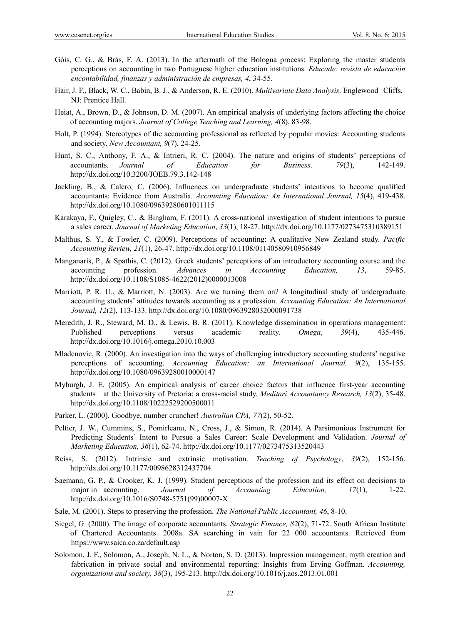- Góis, C. G., & Brás, F. A. (2013). In the aftermath of the Bologna process: Exploring the master students perceptions on accounting in two Portuguese higher education institutions. *Educade: revista de educación encontabilidad, finanzas y administración de empresas, 4*, 34-55.
- Hair, J. F., Black, W. C., Babin, B. J., & Anderson, R. E. (2010). *Multivariate Data Analysis*. Englewood Cliffs, NJ: Prentice Hall.
- Heiat, A., Brown, D., & Johnson, D. M. (2007). An empirical analysis of underlying factors affecting the choice of accounting majors. *Journal of College Teaching and Learning, 4*(8), 83-98.
- Holt, P. (1994). Stereotypes of the accounting professional as reflected by popular movies: Accounting students and society. *New Accountant, 9*(7), 24-25.
- Hunt, S. C., Anthony, F. A., & Intrieri, R. C. (2004). The nature and origins of students' perceptions of accountants. *Journal of Education for Business, 79*(3), 142-149. http://dx.doi.org/10.3200/JOEB.79.3.142-148
- Jackling, B., & Calero, C. (2006). Influences on undergraduate students' intentions to become qualified accountants: Evidence from Australia. *Accounting Education: An International Journal, 15*(4), 419-438. http://dx.doi.org/10.1080/09639280601011115
- Karakaya, F., Quigley, C., & Bingham, F. (2011). A cross-national investigation of student intentions to pursue a sales career. *Journal of Marketing Education*, *33*(1), 18-27. http://dx.doi.org/10.1177/0273475310389151
- Malthus, S. Y., & Fowler, C. (2009). Perceptions of accounting: A qualitative New Zealand study. *Pacific Accounting Review, 21*(1), 26-47. http://dx.doi.org/10.1108/01140580910956849
- Manganaris, P., & Spathis, C. (2012). Greek students' perceptions of an introductory accounting course and the accounting profession. *Advances in Accounting Education, 13*, 59-85. http://dx.doi.org/10.1108/S1085-4622(2012)0000013008
- Marriott, P. R. U., & Marriott, N. (2003). Are we turning them on? A longitudinal study of undergraduate accounting students' attitudes towards accounting as a profession. *Accounting Education: An International Journal, 12*(2), 113-133. http://dx.doi.org/10.1080/0963928032000091738
- Meredith, J. R., Steward, M. D., & Lewis, B. R. (2011). Knowledge dissemination in operations management: Published perceptions versus academic reality. *Omega*, *39*(4), 435-446. http://dx.doi.org/10.1016/j.omega.2010.10.003
- Mladenovic, R. (2000). An investigation into the ways of challenging introductory accounting students' negative perceptions of accounting. *Accounting Education: an International Journal, 9*(2), 135-155. http://dx.doi.org/10.1080/09639280010000147
- Myburgh, J. E. (2005). An empirical analysis of career choice factors that influence first-year accounting students at the University of Pretoria: a cross-racial study. *Meditari Accountancy Research, 13*(2), 35-48. http://dx.doi.org/10.1108/10222529200500011
- Parker, L. (2000). Goodbye, number cruncher! *Australian CPA, 77*(2), 50-52.
- Peltier, J. W., Cummins, S., Pomirleanu, N., Cross, J., & Simon, R. (2014). A Parsimonious Instrument for Predicting Students' Intent to Pursue a Sales Career: Scale Development and Validation. *Journal of Marketing Education, 36*(1), 62-74. http://dx.doi.org/10.1177/0273475313520443
- Reiss, S. (2012). Intrinsic and extrinsic motivation. *Teaching of Psychology*, *39*(2), 152-156. http://dx.doi.org/10.1177/0098628312437704
- Saemann, G. P., & Crooker, K. J. (1999). Student perceptions of the profession and its effect on decisions to major in accounting. *Journal of Accounting Education*, 17(1), 1-22. http://dx.doi.org/10.1016/S0748-5751(99)00007-X
- Sale, M. (2001). Steps to preserving the profession. *The National Public Accountant, 46*, 8-10.
- Siegel, G. (2000). The image of corporate accountants. *Strategic Finance, 82*(2), 71-72. South African Institute of Chartered Accountants. 2008a. SA searching in vain for 22 000 accountants. Retrieved from https://www.saica.co.za/default.asp
- Solomon, J. F., Solomon, A., Joseph, N. L., & Norton, S. D. (2013). Impression management, myth creation and fabrication in private social and environmental reporting: Insights from Erving Goffman. *Accounting, organizations and society, 38*(3), 195-213. http://dx.doi.org/10.1016/j.aos.2013.01.001